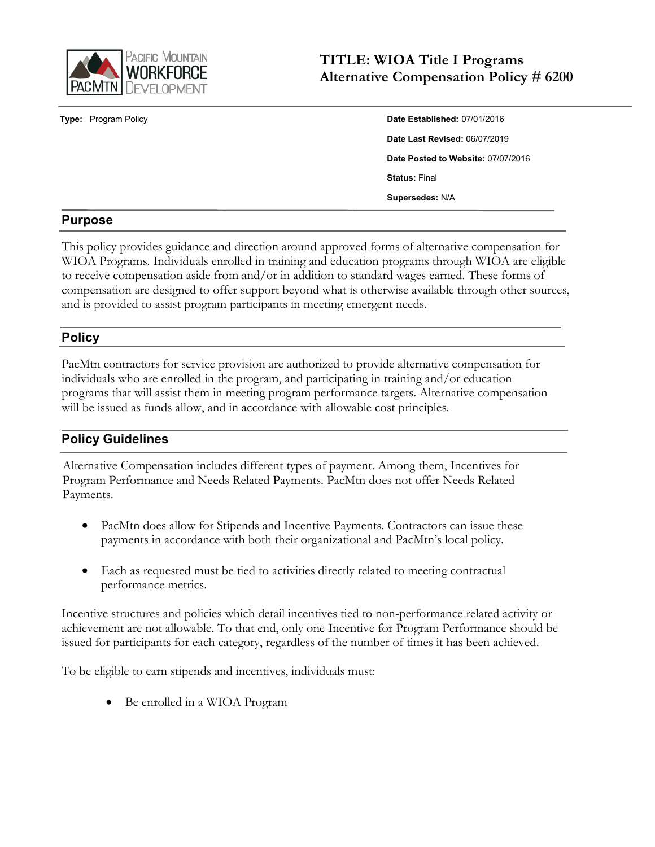

**Type:** Program Policy

| Date Established: 07/01/2016       |
|------------------------------------|
| Date Last Revised: 06/07/2019      |
| Date Posted to Website: 07/07/2016 |
| <b>Status: Final</b>               |
| Supersedes: N/A                    |

# **Purpose**

This policy provides guidance and direction around approved forms of alternative compensation for WIOA Programs. Individuals enrolled in training and education programs through WIOA are eligible to receive compensation aside from and/or in addition to standard wages earned. These forms of compensation are designed to offer support beyond what is otherwise available through other sources, and is provided to assist program participants in meeting emergent needs.

# **Policy**

PacMtn contractors for service provision are authorized to provide alternative compensation for individuals who are enrolled in the program, and participating in training and/or education programs that will assist them in meeting program performance targets. Alternative compensation will be issued as funds allow, and in accordance with allowable cost principles.

# **Policy Guidelines**

Alternative Compensation includes different types of payment. Among them, Incentives for Program Performance and Needs Related Payments. PacMtn does not offer Needs Related Payments.

- PacMtn does allow for Stipends and Incentive Payments. Contractors can issue these payments in accordance with both their organizational and PacMtn's local policy.
- Each as requested must be tied to activities directly related to meeting contractual performance metrics.

Incentive structures and policies which detail incentives tied to non-performance related activity or achievement are not allowable. To that end, only one Incentive for Program Performance should be issued for participants for each category, regardless of the number of times it has been achieved.

To be eligible to earn stipends and incentives, individuals must:

• Be enrolled in a WIOA Program